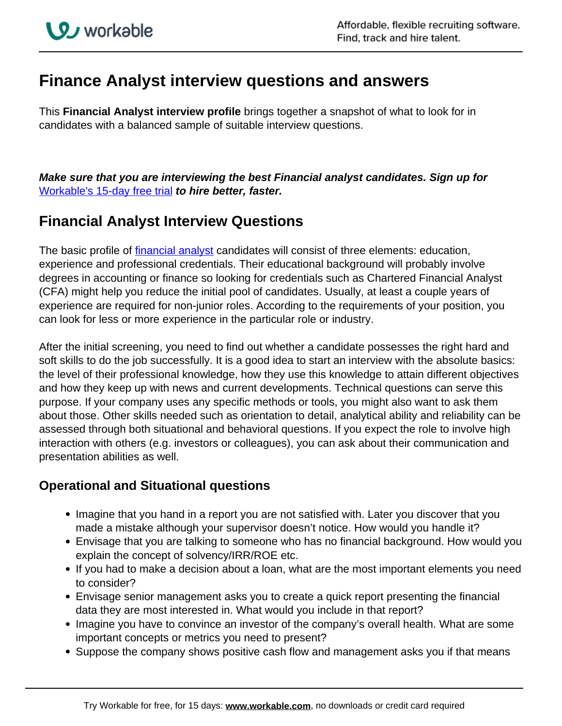# **Finance Analyst interview questions and answers**

This **Financial Analyst interview profile** brings together a snapshot of what to look for in candidates with a balanced sample of suitable interview questions.

**Make sure that you are interviewing the best Financial analyst candidates. Sign up for**  [Workable's 15-day free trial](https://www.workable.com/recruiting-software/?utm_page=financial-analyst-interview-questions&utm_program=cta-text&utm_type=ats) **to hire better, faster.**

## **Financial Analyst Interview Questions**

The basic profile of financial analyst candidates will consist of three elements: education, experience and professional credentials. Their educational background will probably involve degrees in accounting or finance so looking for credentials such as Chartered Financial Analyst (CFA) might help you reduce the initial pool of candidates. Usually, at least a couple years of experience are required for non-junior roles. According to the requirements of your position, you can look for less or more experience in the particular role or industry.

After the initial screening, you need to find out whether a candidate possesses the right hard and soft skills to do the job successfully. It is a good idea to start an interview with the absolute basics: the level of their professional knowledge, how they use this knowledge to attain different objectives and how they keep up with news and current developments. Technical questions can serve this purpose. If your company uses any specific methods or tools, you might also want to ask them about those. Other skills needed such as orientation to detail, analytical ability and reliability can be assessed through both situational and behavioral questions. If you expect the role to involve high interaction with others (e.g. investors or colleagues), you can ask about their communication and presentation abilities as well.

### **Operational and Situational questions**

- Imagine that you hand in a report you are not satisfied with. Later you discover that you made a mistake although your supervisor doesn't notice. How would you handle it?
- Envisage that you are talking to someone who has no financial background. How would you explain the concept of solvency/IRR/ROE etc.
- If you had to make a decision about a loan, what are the most important elements you need to consider?
- Envisage senior management asks you to create a quick report presenting the financial data they are most interested in. What would you include in that report?
- Imagine you have to convince an investor of the company's overall health. What are some important concepts or metrics you need to present?
- Suppose the company shows positive cash flow and management asks you if that means